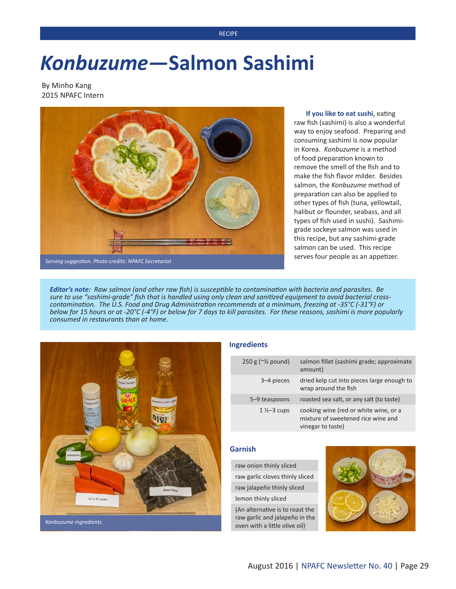#### **RECIPE**

# *Konbuzume—***Salmon Sashimi**

By Minho Kang 2015 NPAFC Intern



**If you like to eat sushi**, eating raw fish (sashimi) is also a wonderful way to enjoy seafood. Preparing and consuming sashimi is now popular in Korea. *Konbuzume* is a method of food preparation known to remove the smell of the fish and to make the fish flavor milder. Besides salmon, the *Konbuzume* method of preparation can also be applied to other types of fish (tuna, yellowtail, halibut or flounder, seabass, and all types of fish used in sushi). Sashimigrade sockeye salmon was used in this recipe, but any sashimi-grade salmon can be used. This recipe serves four people as an appetizer.

*Serving suggestion. Photo credits: NPAFC Secretariat*

*Editor's note: Raw salmon (and other raw fish) is susceptible to contamination with bacteria and parasites. Be sure to use "sashimi-grade" fish that is handled using only clean and sanitized equipment to avoid bacterial crosscontamination. The U.S. Food and Drug Administration recommends at a minimum, freezing at -35°C (-31°F) or below for 15 hours or at -20°C (-4°F) or below for 7 days to kill parasites. For these reasons, sashimi is more popularly consumed in restaurants than at home.*



#### **Ingredients**

| $250 g (~\frac{1}{2}$ pound) | salmon fillet (sashimi grade; approximate<br>amount)                                             |
|------------------------------|--------------------------------------------------------------------------------------------------|
| 3–4 pieces                   | dried kelp cut into pieces large enough to<br>wrap around the fish                               |
| 5-9 teaspoons                | roasted sea salt, or any salt (to taste)                                                         |
| $1\frac{1}{2}-3$ cups        | cooking wine (red or white wine, or a<br>mixture of sweetened rice wine and<br>vinegar to taste) |

### **Garnish**

raw onion thinly sliced raw garlic cloves thinly sliced raw jalapeño thinly sliced

lemon thinly sliced

(An alternative is to roast the raw garlic and jalapeño in the oven with a little olive oil)